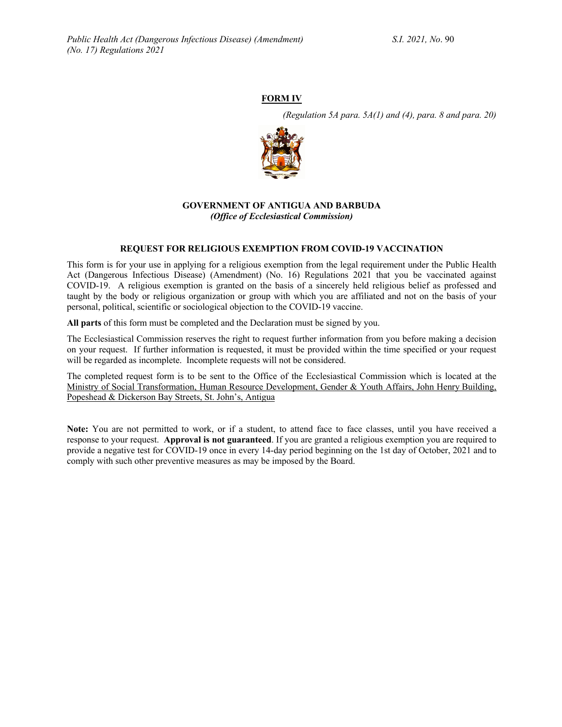# **FORM IV**

*(Regulation 5A para. 5A(1) and (4), para. 8 and para. 20)*



#### **GOVERNMENT OF ANTIGUA AND BARBUDA** *(Office of Ecclesiastical Commission)*

#### **REQUEST FOR RELIGIOUS EXEMPTION FROM COVID-19 VACCINATION**

This form is for your use in applying for a religious exemption from the legal requirement under the Public Health Act (Dangerous Infectious Disease) (Amendment) (No. 16) Regulations 2021 that you be vaccinated against COVID-19. A religious exemption is granted on the basis of a sincerely held religious belief as professed and taught by the body or religious organization or group with which you are affiliated and not on the basis of your personal, political, scientific or sociological objection to the COVID-19 vaccine.

**All parts** of this form must be completed and the Declaration must be signed by you.

The Ecclesiastical Commission reserves the right to request further information from you before making a decision on your request. If further information is requested, it must be provided within the time specified or your request will be regarded as incomplete. Incomplete requests will not be considered.

The completed request form is to be sent to the Office of the Ecclesiastical Commission which is located at the Ministry of Social Transformation, Human Resource Development, Gender & Youth Affairs, John Henry Building, Popeshead & Dickerson Bay Streets, St. John's, Antigua

**Note:** You are not permitted to work, or if a student, to attend face to face classes, until you have received a response to your request. **Approval is not guaranteed**. If you are granted a religious exemption you are required to provide a negative test for COVID-19 once in every 14-day period beginning on the 1st day of October, 2021 and to comply with such other preventive measures as may be imposed by the Board.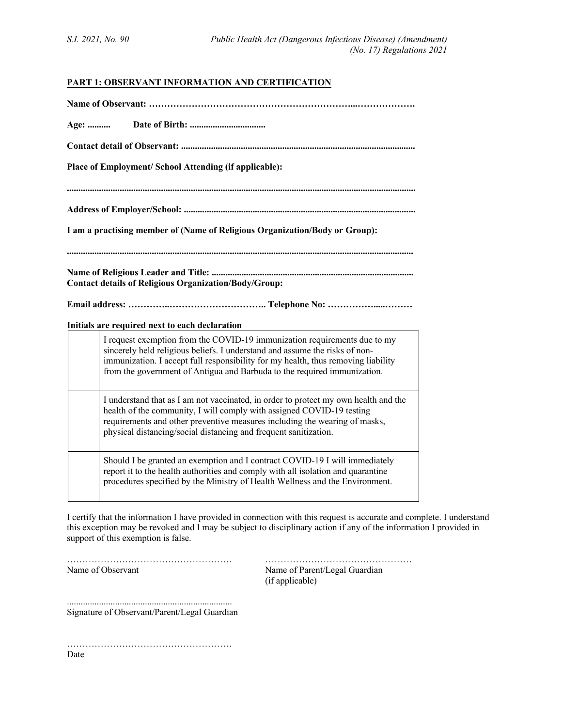# **PART 1: OBSERVANT INFORMATION AND CERTIFICATION**

| Age:                                                                        |                                                                                                                                                                                                                                                                                                                                                                             |
|-----------------------------------------------------------------------------|-----------------------------------------------------------------------------------------------------------------------------------------------------------------------------------------------------------------------------------------------------------------------------------------------------------------------------------------------------------------------------|
|                                                                             |                                                                                                                                                                                                                                                                                                                                                                             |
| Place of Employment/ School Attending (if applicable):                      |                                                                                                                                                                                                                                                                                                                                                                             |
|                                                                             |                                                                                                                                                                                                                                                                                                                                                                             |
|                                                                             |                                                                                                                                                                                                                                                                                                                                                                             |
| I am a practising member of (Name of Religious Organization/Body or Group): |                                                                                                                                                                                                                                                                                                                                                                             |
|                                                                             |                                                                                                                                                                                                                                                                                                                                                                             |
| <b>Contact details of Religious Organization/Body/Group:</b>                |                                                                                                                                                                                                                                                                                                                                                                             |
|                                                                             |                                                                                                                                                                                                                                                                                                                                                                             |
|                                                                             |                                                                                                                                                                                                                                                                                                                                                                             |
|                                                                             | Initials are required next to each declaration<br>I request exemption from the COVID-19 immunization requirements due to my<br>sincerely held religious beliefs. I understand and assume the risks of non-<br>immunization. I accept full responsibility for my health, thus removing liability<br>from the government of Antigua and Barbuda to the required immunization. |
|                                                                             | I understand that as I am not vaccinated, in order to protect my own health and the<br>health of the community, I will comply with assigned COVID-19 testing<br>requirements and other preventive measures including the wearing of masks,<br>physical distancing/social distancing and frequent sanitization.                                                              |
|                                                                             | Should I be granted an exemption and I contract COVID-19 I will immediately<br>report it to the health authorities and comply with all isolation and quarantine<br>procedures specified by the Ministry of Health Wellness and the Environment.                                                                                                                             |

I certify that the information I have provided in connection with this request is accurate and complete. I understand this exception may be revoked and I may be subject to disciplinary action if any of the information I provided in support of this exemption is false.

……………………………………………… ………………………………………… Name of Observant Name of Parent/Legal Guardian (if applicable)

........................................................................ Signature of Observant/Parent/Legal Guardian

………………………………………………

Date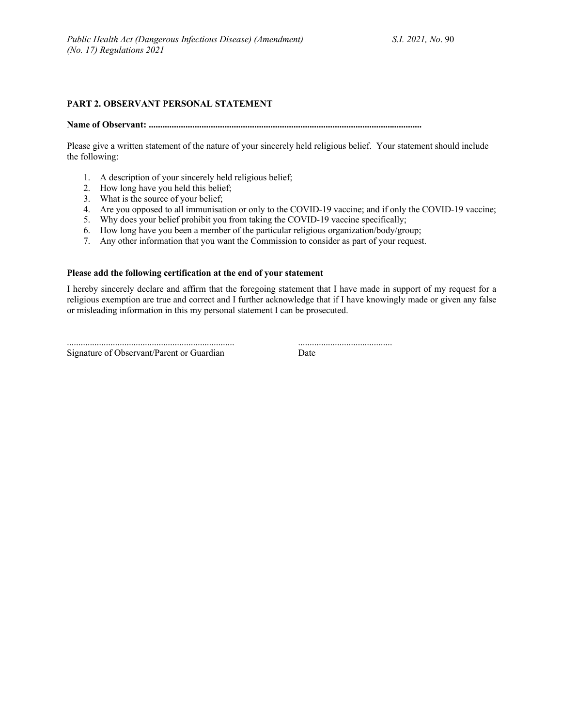## **PART 2. OBSERVANT PERSONAL STATEMENT**

**Name of Observant: .......................................................................................................................**

Please give a written statement of the nature of your sincerely held religious belief. Your statement should include the following:

- 1. A description of your sincerely held religious belief;
- 2. How long have you held this belief;
- 3. What is the source of your belief;
- 4. Are you opposed to all immunisation or only to the COVID-19 vaccine; and if only the COVID-19 vaccine;
- 5. Why does your belief prohibit you from taking the COVID-19 vaccine specifically;
- 6. How long have you been a member of the particular religious organization/body/group;
- 7. Any other information that you want the Commission to consider as part of your request.

#### **Please add the following certification at the end of your statement**

I hereby sincerely declare and affirm that the foregoing statement that I have made in support of my request for a religious exemption are true and correct and I further acknowledge that if I have knowingly made or given any false or misleading information in this my personal statement I can be prosecuted.

Signature of Observant/Parent or Guardian Date

......................................................................... .........................................